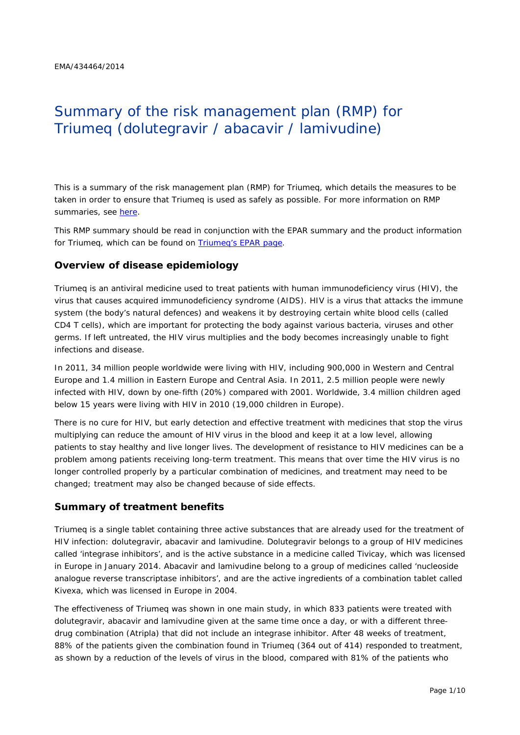# Summary of the risk management plan (RMP) for Triumeq (dolutegravir / abacavir / lamivudine)

This is a summary of the risk management plan (RMP) for Triumeq, which details the measures to be taken in order to ensure that Triumeq is used as safely as possible. For more information on RMP summaries, see [here.](http://www.ema.europa.eu/docs/en_GB/document_library/Other/2014/05/WC500166101.pdf)

This RMP summary should be read in conjunction with the EPAR summary and the product information for Triumeq, which can be found on [Triumeq's EPAR page.](http://www.ema.europa.eu/ema/index.jsp?curl=/pages/medicines/human/medicines/002754/human_med_001796.jsp&mid=WC0b01ac058001d124%20)

#### **Overview of disease epidemiology**

Triumeq is an antiviral medicine used to treat patients with human immunodeficiency virus (HIV), the virus that causes acquired immunodeficiency syndrome (AIDS). HIV is a virus that attacks the immune system (the body's natural defences) and weakens it by destroying certain white blood cells (called CD4 T cells), which are important for protecting the body against various bacteria, viruses and other germs. If left untreated, the HIV virus multiplies and the body becomes increasingly unable to fight infections and disease.

In 2011, 34 million people worldwide were living with HIV, including 900,000 in Western and Central Europe and 1.4 million in Eastern Europe and Central Asia. In 2011, 2.5 million people were newly infected with HIV, down by one-fifth (20%) compared with 2001. Worldwide, 3.4 million children aged below 15 years were living with HIV in 2010 (19,000 children in Europe).

There is no cure for HIV, but early detection and effective treatment with medicines that stop the virus multiplying can reduce the amount of HIV virus in the blood and keep it at a low level, allowing patients to stay healthy and live longer lives. The development of resistance to HIV medicines can be a problem among patients receiving long-term treatment. This means that over time the HIV virus is no longer controlled properly by a particular combination of medicines, and treatment may need to be changed; treatment may also be changed because of side effects.

#### **Summary of treatment benefits**

Triumeq is a single tablet containing three active substances that are already used for the treatment of HIV infection: dolutegravir, abacavir and lamivudine. Dolutegravir belongs to a group of HIV medicines called 'integrase inhibitors', and is the active substance in a medicine called Tivicay, which was licensed in Europe in January 2014. Abacavir and lamivudine belong to a group of medicines called 'nucleoside analogue reverse transcriptase inhibitors', and are the active ingredients of a combination tablet called Kivexa, which was licensed in Europe in 2004.

The effectiveness of Triumeq was shown in one main study, in which 833 patients were treated with dolutegravir, abacavir and lamivudine given at the same time once a day, or with a different threedrug combination (Atripla) that did not include an integrase inhibitor. After 48 weeks of treatment, 88% of the patients given the combination found in Triumeg (364 out of 414) responded to treatment, as shown by a reduction of the levels of virus in the blood, compared with 81% of the patients who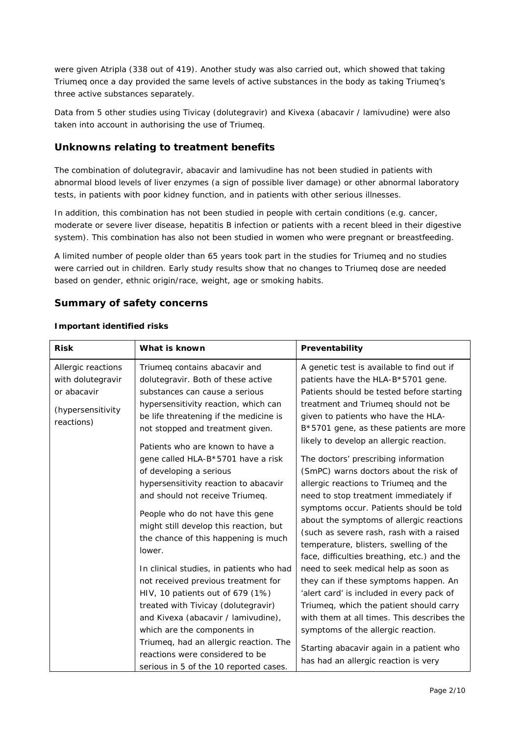were given Atripla (338 out of 419). Another study was also carried out, which showed that taking Triumeq once a day provided the same levels of active substances in the body as taking Triumeq's three active substances separately.

Data from 5 other studies using Tivicay (dolutegravir) and Kivexa (abacavir / lamivudine) were also taken into account in authorising the use of Triumeq.

#### **Unknowns relating to treatment benefits**

The combination of dolutegravir, abacavir and lamivudine has not been studied in patients with abnormal blood levels of liver enzymes (a sign of possible liver damage) or other abnormal laboratory tests, in patients with poor kidney function, and in patients with other serious illnesses.

In addition, this combination has not been studied in people with certain conditions (e.g. cancer, moderate or severe liver disease, hepatitis B infection or patients with a recent bleed in their digestive system). This combination has also not been studied in women who were pregnant or breastfeeding.

A limited number of people older than 65 years took part in the studies for Triumeq and no studies were carried out in children. Early study results show that no changes to Triumeq dose are needed based on gender, ethnic origin/race, weight, age or smoking habits.

#### **Summary of safety concerns**

#### *Important identified risks*

| <b>Risk</b><br>What is known                                                                                                                                                                                                                                                                                                                                                                                                                                                                                                                                                                                                                                                                                                                                                                                                                                                                                                                                                                         | Preventability                                                                                                                                                                                                                                                                                                                                                                                                                                                                                                                                                                                                                                                                                                                                                                                                                                                                                                                                                                                                                                     |
|------------------------------------------------------------------------------------------------------------------------------------------------------------------------------------------------------------------------------------------------------------------------------------------------------------------------------------------------------------------------------------------------------------------------------------------------------------------------------------------------------------------------------------------------------------------------------------------------------------------------------------------------------------------------------------------------------------------------------------------------------------------------------------------------------------------------------------------------------------------------------------------------------------------------------------------------------------------------------------------------------|----------------------------------------------------------------------------------------------------------------------------------------------------------------------------------------------------------------------------------------------------------------------------------------------------------------------------------------------------------------------------------------------------------------------------------------------------------------------------------------------------------------------------------------------------------------------------------------------------------------------------------------------------------------------------------------------------------------------------------------------------------------------------------------------------------------------------------------------------------------------------------------------------------------------------------------------------------------------------------------------------------------------------------------------------|
| Allergic reactions<br>Triumeg contains abacavir and<br>with dolutegravir<br>dolutegravir. Both of these active<br>or abacavir<br>substances can cause a serious<br>hypersensitivity reaction, which can<br>(hypersensitivity<br>be life threatening if the medicine is<br>reactions)<br>not stopped and treatment given.<br>Patients who are known to have a<br>gene called HLA-B*5701 have a risk<br>of developing a serious<br>hypersensitivity reaction to abacavir<br>and should not receive Triumeq.<br>People who do not have this gene<br>might still develop this reaction, but<br>the chance of this happening is much<br>lower.<br>In clinical studies, in patients who had<br>not received previous treatment for<br>HIV, 10 patients out of 679 (1%)<br>treated with Tivicay (dolutegravir)<br>and Kivexa (abacavir / lamivudine),<br>which are the components in<br>Triumeq, had an allergic reaction. The<br>reactions were considered to be<br>serious in 5 of the 10 reported cases. | A genetic test is available to find out if<br>patients have the HLA-B*5701 gene.<br>Patients should be tested before starting<br>treatment and Triumeq should not be<br>given to patients who have the HLA-<br>B*5701 gene, as these patients are more<br>likely to develop an allergic reaction.<br>The doctors' prescribing information<br>(SmPC) warns doctors about the risk of<br>allergic reactions to Triumeq and the<br>need to stop treatment immediately if<br>symptoms occur. Patients should be told<br>about the symptoms of allergic reactions<br>(such as severe rash, rash with a raised<br>temperature, blisters, swelling of the<br>face, difficulties breathing, etc.) and the<br>need to seek medical help as soon as<br>they can if these symptoms happen. An<br>'alert card' is included in every pack of<br>Triumeg, which the patient should carry<br>with them at all times. This describes the<br>symptoms of the allergic reaction.<br>Starting abacavir again in a patient who<br>has had an allergic reaction is very |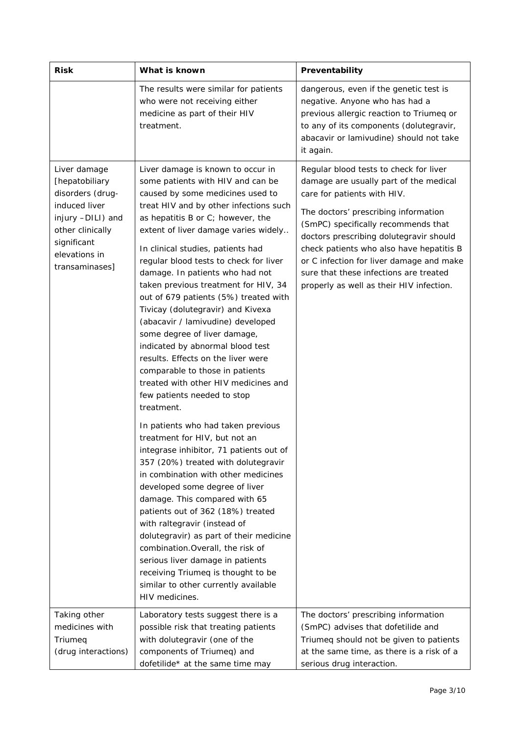| <b>Risk</b>                                                                                                                                                    | What is known                                                                                                                                                                                                                                                                                                                                                                                                                                                                                                                                                                                                                                                                                                                                                                                                                                                                                                                                                                                                                                                                                                                                                                                                                                                                                                | Preventability                                                                                                                                                                                                                                                                                                                                                                                                          |  |
|----------------------------------------------------------------------------------------------------------------------------------------------------------------|--------------------------------------------------------------------------------------------------------------------------------------------------------------------------------------------------------------------------------------------------------------------------------------------------------------------------------------------------------------------------------------------------------------------------------------------------------------------------------------------------------------------------------------------------------------------------------------------------------------------------------------------------------------------------------------------------------------------------------------------------------------------------------------------------------------------------------------------------------------------------------------------------------------------------------------------------------------------------------------------------------------------------------------------------------------------------------------------------------------------------------------------------------------------------------------------------------------------------------------------------------------------------------------------------------------|-------------------------------------------------------------------------------------------------------------------------------------------------------------------------------------------------------------------------------------------------------------------------------------------------------------------------------------------------------------------------------------------------------------------------|--|
|                                                                                                                                                                | The results were similar for patients<br>who were not receiving either<br>medicine as part of their HIV<br>treatment.                                                                                                                                                                                                                                                                                                                                                                                                                                                                                                                                                                                                                                                                                                                                                                                                                                                                                                                                                                                                                                                                                                                                                                                        | dangerous, even if the genetic test is<br>negative. Anyone who has had a<br>previous allergic reaction to Triumeq or<br>to any of its components (dolutegravir,<br>abacavir or lamivudine) should not take<br>it again.                                                                                                                                                                                                 |  |
| Liver damage<br>[hepatobiliary<br>disorders (drug-<br>induced liver<br>injury -DILI) and<br>other clinically<br>significant<br>elevations in<br>transaminases] | Liver damage is known to occur in<br>some patients with HIV and can be<br>caused by some medicines used to<br>treat HIV and by other infections such<br>as hepatitis B or C; however, the<br>extent of liver damage varies widely<br>In clinical studies, patients had<br>regular blood tests to check for liver<br>damage. In patients who had not<br>taken previous treatment for HIV, 34<br>out of 679 patients (5%) treated with<br>Tivicay (dolutegravir) and Kivexa<br>(abacavir / lamivudine) developed<br>some degree of liver damage,<br>indicated by abnormal blood test<br>results. Effects on the liver were<br>comparable to those in patients<br>treated with other HIV medicines and<br>few patients needed to stop<br>treatment.<br>In patients who had taken previous<br>treatment for HIV, but not an<br>integrase inhibitor, 71 patients out of<br>357 (20%) treated with dolutegravir<br>in combination with other medicines<br>developed some degree of liver<br>damage. This compared with 65<br>patients out of 362 (18%) treated<br>with raltegravir (instead of<br>dolutegravir) as part of their medicine<br>combination. Overall, the risk of<br>serious liver damage in patients<br>receiving Triumeq is thought to be<br>similar to other currently available<br>HIV medicines. | Regular blood tests to check for liver<br>damage are usually part of the medical<br>care for patients with HIV.<br>The doctors' prescribing information<br>(SmPC) specifically recommends that<br>doctors prescribing dolutegravir should<br>check patients who also have hepatitis B<br>or C infection for liver damage and make<br>sure that these infections are treated<br>properly as well as their HIV infection. |  |
| Taking other<br>medicines with<br>Triumeq<br>(drug interactions)                                                                                               | Laboratory tests suggest there is a<br>possible risk that treating patients<br>with dolutegravir (one of the<br>components of Triumeq) and<br>dofetilide* at the same time may                                                                                                                                                                                                                                                                                                                                                                                                                                                                                                                                                                                                                                                                                                                                                                                                                                                                                                                                                                                                                                                                                                                               | The doctors' prescribing information<br>(SmPC) advises that dofetilide and<br>Triumeq should not be given to patients<br>at the same time, as there is a risk of a<br>serious drug interaction.                                                                                                                                                                                                                         |  |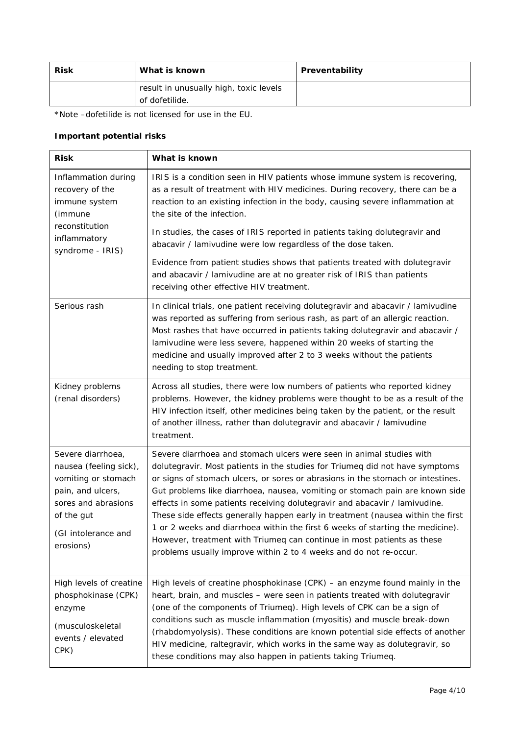| <b>Risk</b>                            | What is known  | Preventability |
|----------------------------------------|----------------|----------------|
| result in unusually high, toxic levels |                |                |
|                                        | of dofetilide. |                |

\*Note –dofetilide is not licensed for use in the EU.

#### *Important potential risks*

| <b>Risk</b>                                                                                                                                                      | What is known                                                                                                                                                                                                                                                                                                                                                                                                                                                                                                                                                                                                                                                                                                             |
|------------------------------------------------------------------------------------------------------------------------------------------------------------------|---------------------------------------------------------------------------------------------------------------------------------------------------------------------------------------------------------------------------------------------------------------------------------------------------------------------------------------------------------------------------------------------------------------------------------------------------------------------------------------------------------------------------------------------------------------------------------------------------------------------------------------------------------------------------------------------------------------------------|
| Inflammation during<br>recovery of the<br>immune system<br>(immune<br>reconstitution                                                                             | IRIS is a condition seen in HIV patients whose immune system is recovering,<br>as a result of treatment with HIV medicines. During recovery, there can be a<br>reaction to an existing infection in the body, causing severe inflammation at<br>the site of the infection.<br>In studies, the cases of IRIS reported in patients taking dolutegravir and                                                                                                                                                                                                                                                                                                                                                                  |
| inflammatory<br>syndrome - IRIS)                                                                                                                                 | abacavir / lamivudine were low regardless of the dose taken.<br>Evidence from patient studies shows that patients treated with dolutegravir<br>and abacavir / lamivudine are at no greater risk of IRIS than patients<br>receiving other effective HIV treatment.                                                                                                                                                                                                                                                                                                                                                                                                                                                         |
| Serious rash                                                                                                                                                     | In clinical trials, one patient receiving dolutegravir and abacavir / lamivudine<br>was reported as suffering from serious rash, as part of an allergic reaction.<br>Most rashes that have occurred in patients taking dolutegravir and abacavir /<br>lamivudine were less severe, happened within 20 weeks of starting the<br>medicine and usually improved after 2 to 3 weeks without the patients<br>needing to stop treatment.                                                                                                                                                                                                                                                                                        |
| Kidney problems<br>(renal disorders)                                                                                                                             | Across all studies, there were low numbers of patients who reported kidney<br>problems. However, the kidney problems were thought to be as a result of the<br>HIV infection itself, other medicines being taken by the patient, or the result<br>of another illness, rather than dolutegravir and abacavir / lamivudine<br>treatment.                                                                                                                                                                                                                                                                                                                                                                                     |
| Severe diarrhoea,<br>nausea (feeling sick),<br>vomiting or stomach<br>pain, and ulcers,<br>sores and abrasions<br>of the gut<br>(GI intolerance and<br>erosions) | Severe diarrhoea and stomach ulcers were seen in animal studies with<br>dolutegravir. Most patients in the studies for Triumeq did not have symptoms<br>or signs of stomach ulcers, or sores or abrasions in the stomach or intestines.<br>Gut problems like diarrhoea, nausea, vomiting or stomach pain are known side<br>effects in some patients receiving dolutegravir and abacavir / lamivudine.<br>These side effects generally happen early in treatment (nausea within the first<br>1 or 2 weeks and diarrhoea within the first 6 weeks of starting the medicine).<br>However, treatment with Triumeq can continue in most patients as these<br>problems usually improve within 2 to 4 weeks and do not re-occur. |
| High levels of creatine<br>phosphokinase (CPK)<br>enzyme<br>(musculoskeletal<br>events / elevated<br>CPK)                                                        | High levels of creatine phosphokinase $(CPK)$ – an enzyme found mainly in the<br>heart, brain, and muscles - were seen in patients treated with dolutegravir<br>(one of the components of Triumeq). High levels of CPK can be a sign of<br>conditions such as muscle inflammation (myositis) and muscle break-down<br>(rhabdomyolysis). These conditions are known potential side effects of another<br>HIV medicine, raltegravir, which works in the same way as dolutegravir, so<br>these conditions may also happen in patients taking Triumeq.                                                                                                                                                                        |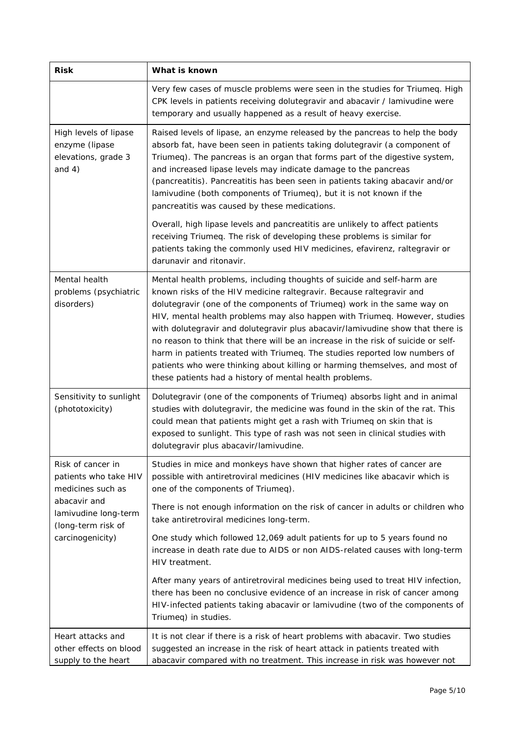| <b>Risk</b>                                                                    | What is known                                                                                                                                                                                                                                                                                                                                                                                                                                                                                                                                                                                                                                                                                           |  |  |  |
|--------------------------------------------------------------------------------|---------------------------------------------------------------------------------------------------------------------------------------------------------------------------------------------------------------------------------------------------------------------------------------------------------------------------------------------------------------------------------------------------------------------------------------------------------------------------------------------------------------------------------------------------------------------------------------------------------------------------------------------------------------------------------------------------------|--|--|--|
|                                                                                | Very few cases of muscle problems were seen in the studies for Triumeq. High<br>CPK levels in patients receiving dolutegravir and abacavir / lamivudine were<br>temporary and usually happened as a result of heavy exercise.                                                                                                                                                                                                                                                                                                                                                                                                                                                                           |  |  |  |
| High levels of lipase<br>enzyme (lipase<br>elevations, grade 3<br>and $4)$     | Raised levels of lipase, an enzyme released by the pancreas to help the body<br>absorb fat, have been seen in patients taking dolutegravir (a component of<br>Triumeq). The pancreas is an organ that forms part of the digestive system,<br>and increased lipase levels may indicate damage to the pancreas<br>(pancreatitis). Pancreatitis has been seen in patients taking abacavir and/or<br>lamivudine (both components of Triumeq), but it is not known if the<br>pancreatitis was caused by these medications.                                                                                                                                                                                   |  |  |  |
|                                                                                | Overall, high lipase levels and pancreatitis are unlikely to affect patients<br>receiving Triumeq. The risk of developing these problems is similar for<br>patients taking the commonly used HIV medicines, efavirenz, raltegravir or<br>darunavir and ritonavir.                                                                                                                                                                                                                                                                                                                                                                                                                                       |  |  |  |
| Mental health<br>problems (psychiatric<br>disorders)                           | Mental health problems, including thoughts of suicide and self-harm are<br>known risks of the HIV medicine raltegravir. Because raltegravir and<br>dolutegravir (one of the components of Triumeq) work in the same way on<br>HIV, mental health problems may also happen with Triumeq. However, studies<br>with dolutegravir and dolutegravir plus abacavir/lamivudine show that there is<br>no reason to think that there will be an increase in the risk of suicide or self-<br>harm in patients treated with Triumeq. The studies reported low numbers of<br>patients who were thinking about killing or harming themselves, and most of<br>these patients had a history of mental health problems. |  |  |  |
| Sensitivity to sunlight<br>(phototoxicity)                                     | Dolutegravir (one of the components of Triumeq) absorbs light and in animal<br>studies with dolutegravir, the medicine was found in the skin of the rat. This<br>could mean that patients might get a rash with Triumeq on skin that is<br>exposed to sunlight. This type of rash was not seen in clinical studies with<br>dolutegravir plus abacavir/lamivudine.                                                                                                                                                                                                                                                                                                                                       |  |  |  |
| Risk of cancer in<br>patients who take HIV<br>medicines such as                | Studies in mice and monkeys have shown that higher rates of cancer are<br>possible with antiretroviral medicines (HIV medicines like abacavir which is<br>one of the components of Triumeq).                                                                                                                                                                                                                                                                                                                                                                                                                                                                                                            |  |  |  |
| abacavir and<br>lamivudine long-term<br>(long-term risk of<br>carcinogenicity) | There is not enough information on the risk of cancer in adults or children who<br>take antiretroviral medicines long-term.                                                                                                                                                                                                                                                                                                                                                                                                                                                                                                                                                                             |  |  |  |
|                                                                                | One study which followed 12,069 adult patients for up to 5 years found no<br>increase in death rate due to AIDS or non AIDS-related causes with long-term<br>HIV treatment.                                                                                                                                                                                                                                                                                                                                                                                                                                                                                                                             |  |  |  |
|                                                                                | After many years of antiretroviral medicines being used to treat HIV infection,<br>there has been no conclusive evidence of an increase in risk of cancer among<br>HIV-infected patients taking abacavir or lamivudine (two of the components of<br>Triumeq) in studies.                                                                                                                                                                                                                                                                                                                                                                                                                                |  |  |  |
| Heart attacks and<br>other effects on blood<br>supply to the heart             | It is not clear if there is a risk of heart problems with abacavir. Two studies<br>suggested an increase in the risk of heart attack in patients treated with<br>abacavir compared with no treatment. This increase in risk was however not                                                                                                                                                                                                                                                                                                                                                                                                                                                             |  |  |  |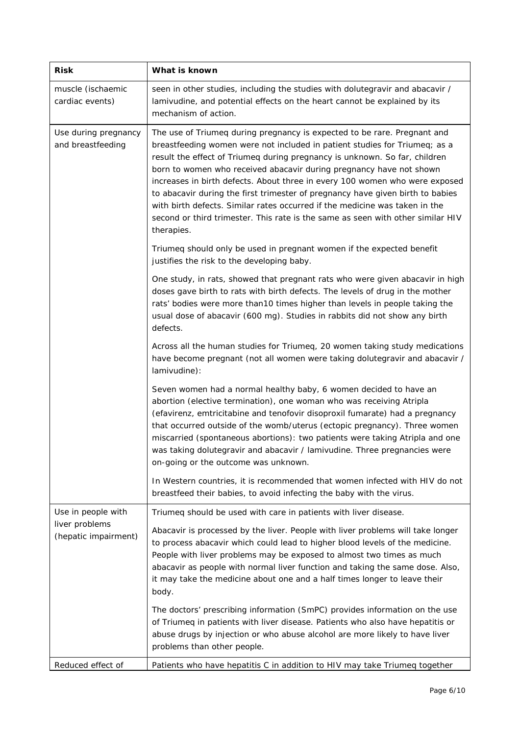| <b>Risk</b>                               | What is known                                                                                                                                                                                                                                                                                                                                                                                                                                                                                                                                                                                                                                                |  |  |  |
|-------------------------------------------|--------------------------------------------------------------------------------------------------------------------------------------------------------------------------------------------------------------------------------------------------------------------------------------------------------------------------------------------------------------------------------------------------------------------------------------------------------------------------------------------------------------------------------------------------------------------------------------------------------------------------------------------------------------|--|--|--|
| muscle (ischaemic<br>cardiac events)      | seen in other studies, including the studies with dolutegravir and abacavir /<br>lamivudine, and potential effects on the heart cannot be explained by its<br>mechanism of action.                                                                                                                                                                                                                                                                                                                                                                                                                                                                           |  |  |  |
| Use during pregnancy<br>and breastfeeding | The use of Triumeq during pregnancy is expected to be rare. Pregnant and<br>breastfeeding women were not included in patient studies for Triumeq; as a<br>result the effect of Triumeq during pregnancy is unknown. So far, children<br>born to women who received abacavir during pregnancy have not shown<br>increases in birth defects. About three in every 100 women who were exposed<br>to abacavir during the first trimester of pregnancy have given birth to babies<br>with birth defects. Similar rates occurred if the medicine was taken in the<br>second or third trimester. This rate is the same as seen with other similar HIV<br>therapies. |  |  |  |
|                                           | Triumeq should only be used in pregnant women if the expected benefit<br>justifies the risk to the developing baby.                                                                                                                                                                                                                                                                                                                                                                                                                                                                                                                                          |  |  |  |
|                                           | One study, in rats, showed that pregnant rats who were given abacavir in high<br>doses gave birth to rats with birth defects. The levels of drug in the mother<br>rats' bodies were more than10 times higher than levels in people taking the<br>usual dose of abacavir (600 mg). Studies in rabbits did not show any birth<br>defects.                                                                                                                                                                                                                                                                                                                      |  |  |  |
|                                           | Across all the human studies for Triumeq, 20 women taking study medications<br>have become pregnant (not all women were taking dolutegravir and abacavir /<br>lamivudine):                                                                                                                                                                                                                                                                                                                                                                                                                                                                                   |  |  |  |
|                                           | Seven women had a normal healthy baby, 6 women decided to have an<br>abortion (elective termination), one woman who was receiving Atripla<br>(efavirenz, emtricitabine and tenofovir disoproxil fumarate) had a pregnancy<br>that occurred outside of the womb/uterus (ectopic pregnancy). Three women<br>miscarried (spontaneous abortions): two patients were taking Atripla and one<br>was taking dolutegravir and abacavir / lamivudine. Three pregnancies were<br>on-going or the outcome was unknown.                                                                                                                                                  |  |  |  |
|                                           | In Western countries, it is recommended that women infected with HIV do not<br>breastfeed their babies, to avoid infecting the baby with the virus.                                                                                                                                                                                                                                                                                                                                                                                                                                                                                                          |  |  |  |
| Use in people with                        | Triumeq should be used with care in patients with liver disease.                                                                                                                                                                                                                                                                                                                                                                                                                                                                                                                                                                                             |  |  |  |
| liver problems<br>(hepatic impairment)    | Abacavir is processed by the liver. People with liver problems will take longer<br>to process abacavir which could lead to higher blood levels of the medicine.<br>People with liver problems may be exposed to almost two times as much<br>abacavir as people with normal liver function and taking the same dose. Also,<br>it may take the medicine about one and a half times longer to leave their<br>body.                                                                                                                                                                                                                                              |  |  |  |
|                                           | The doctors' prescribing information (SmPC) provides information on the use<br>of Triumeq in patients with liver disease. Patients who also have hepatitis or<br>abuse drugs by injection or who abuse alcohol are more likely to have liver<br>problems than other people.                                                                                                                                                                                                                                                                                                                                                                                  |  |  |  |
| Reduced effect of                         | Patients who have hepatitis C in addition to HIV may take Triumeq together                                                                                                                                                                                                                                                                                                                                                                                                                                                                                                                                                                                   |  |  |  |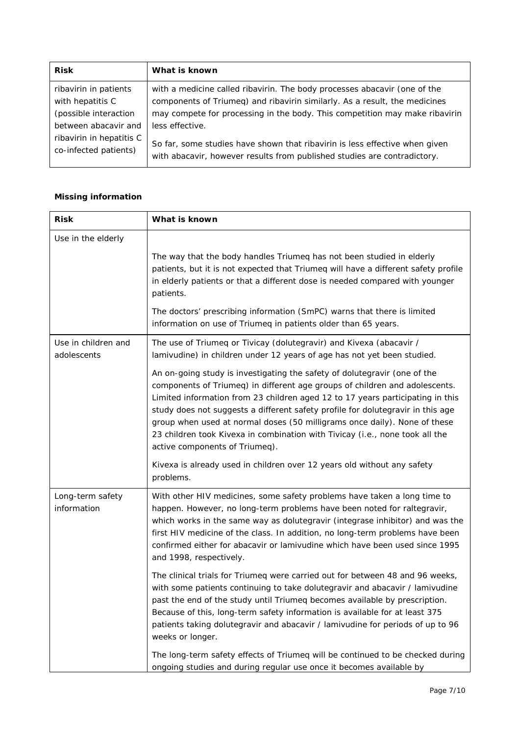| <b>Risk</b>                                                                                                                                     | What is known                                                                                                                                                                                                                                                                                                                                                                                                        |
|-------------------------------------------------------------------------------------------------------------------------------------------------|----------------------------------------------------------------------------------------------------------------------------------------------------------------------------------------------------------------------------------------------------------------------------------------------------------------------------------------------------------------------------------------------------------------------|
| ribavirin in patients<br>with hepatitis C<br>(possible interaction<br>between abacavir and<br>ribavirin in hepatitis C<br>co-infected patients) | with a medicine called ribavirin. The body processes abacavir (one of the<br>components of Triumeq) and ribavirin similarly. As a result, the medicines<br>may compete for processing in the body. This competition may make ribavirin<br>less effective.<br>So far, some studies have shown that ribavirin is less effective when given<br>with abacavir, however results from published studies are contradictory. |
|                                                                                                                                                 |                                                                                                                                                                                                                                                                                                                                                                                                                      |

#### *Missing information*

| <b>Risk</b>                        | What is known                                                                                                                                                                                                                                                                                                                                                                                                                                                                                                                |  |  |
|------------------------------------|------------------------------------------------------------------------------------------------------------------------------------------------------------------------------------------------------------------------------------------------------------------------------------------------------------------------------------------------------------------------------------------------------------------------------------------------------------------------------------------------------------------------------|--|--|
| Use in the elderly                 | The way that the body handles Triumeg has not been studied in elderly<br>patients, but it is not expected that Triumeq will have a different safety profile                                                                                                                                                                                                                                                                                                                                                                  |  |  |
|                                    | in elderly patients or that a different dose is needed compared with younger<br>patients.<br>The doctors' prescribing information (SmPC) warns that there is limited                                                                                                                                                                                                                                                                                                                                                         |  |  |
|                                    | information on use of Triumeq in patients older than 65 years.                                                                                                                                                                                                                                                                                                                                                                                                                                                               |  |  |
| Use in children and<br>adolescents | The use of Triumeq or Tivicay (dolutegravir) and Kivexa (abacavir /<br>lamivudine) in children under 12 years of age has not yet been studied.                                                                                                                                                                                                                                                                                                                                                                               |  |  |
|                                    | An on-going study is investigating the safety of dolutegravir (one of the<br>components of Triumeq) in different age groups of children and adolescents.<br>Limited information from 23 children aged 12 to 17 years participating in this<br>study does not suggests a different safety profile for dolutegravir in this age<br>group when used at normal doses (50 milligrams once daily). None of these<br>23 children took Kivexa in combination with Tivicay (i.e., none took all the<br>active components of Triumeq). |  |  |
|                                    | Kivexa is already used in children over 12 years old without any safety<br>problems.                                                                                                                                                                                                                                                                                                                                                                                                                                         |  |  |
| Long-term safety<br>information    | With other HIV medicines, some safety problems have taken a long time to<br>happen. However, no long-term problems have been noted for raltegravir,<br>which works in the same way as dolutegravir (integrase inhibitor) and was the<br>first HIV medicine of the class. In addition, no long-term problems have been<br>confirmed either for abacavir or lamivudine which have been used since 1995<br>and 1998, respectively.                                                                                              |  |  |
|                                    | The clinical trials for Triumeq were carried out for between 48 and 96 weeks,<br>with some patients continuing to take dolutegravir and abacavir / lamivudine<br>past the end of the study until Triumeq becomes available by prescription.<br>Because of this, long-term safety information is available for at least 375<br>patients taking dolutegravir and abacavir / lamivudine for periods of up to 96<br>weeks or longer.                                                                                             |  |  |
|                                    | The long-term safety effects of Triumeq will be continued to be checked during<br>ongoing studies and during regular use once it becomes available by                                                                                                                                                                                                                                                                                                                                                                        |  |  |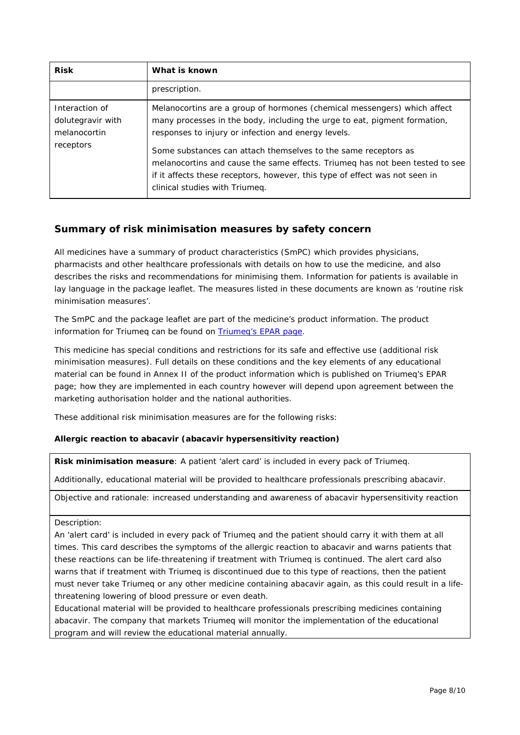| <b>Risk</b>                                                      | What is known                                                                                                                                                                                                                                                                                                                                                                                                                                                                   |
|------------------------------------------------------------------|---------------------------------------------------------------------------------------------------------------------------------------------------------------------------------------------------------------------------------------------------------------------------------------------------------------------------------------------------------------------------------------------------------------------------------------------------------------------------------|
|                                                                  | prescription.                                                                                                                                                                                                                                                                                                                                                                                                                                                                   |
| Interaction of<br>dolutegravir with<br>melanocortin<br>receptors | Melanocortins are a group of hormones (chemical messengers) which affect<br>many processes in the body, including the urge to eat, pigment formation,<br>responses to injury or infection and energy levels.<br>Some substances can attach themselves to the same receptors as<br>melanocortins and cause the same effects. Triumed has not been tested to see<br>if it affects these receptors, however, this type of effect was not seen in<br>clinical studies with Triumeq. |

### **Summary of risk minimisation measures by safety concern**

All medicines have a summary of product characteristics (SmPC) which provides physicians, pharmacists and other healthcare professionals with details on how to use the medicine, and also describes the risks and recommendations for minimising them. Information for patients is available in lay language in the package leaflet. The measures listed in these documents are known as 'routine risk minimisation measures'.

The SmPC and the package leaflet are part of the medicine's product information. The product information for Triumeq can be found on [Triumeq's EPAR page.](http://www.ema.europa.eu/ema/index.jsp?curl=/pages/medicines/human/medicines/002754/human_med_001796.jsp&mid=WC0b01ac058001d124%20)

This medicine has special conditions and restrictions for its safe and effective use (additional risk minimisation measures). Full details on these conditions and the key elements of any educational material can be found in Annex II of the product information which is published on Triumeq's EPAR page; how they are implemented in each country however will depend upon agreement between the marketing authorisation holder and the national authorities.

These additional risk minimisation measures are for the following risks:

#### *Allergic reaction to abacavir (abacavir hypersensitivity reaction)*

**Risk minimisation measure**: A patient 'alert card' is included in every pack of Triumeq.

Additionally, educational material will be provided to healthcare professionals prescribing abacavir.

Objective and rationale: increased understanding and awareness of abacavir hypersensitivity reaction

#### Description:

An 'alert card' is included in every pack of Triumeq and the patient should carry it with them at all times. This card describes the symptoms of the allergic reaction to abacavir and warns patients that these reactions can be life-threatening if treatment with Triumeq is continued. The alert card also warns that if treatment with Triumeq is discontinued due to this type of reactions, then the patient must never take Triumeq or any other medicine containing abacavir again, as this could result in a lifethreatening lowering of blood pressure or even death.

Educational material will be provided to healthcare professionals prescribing medicines containing abacavir. The company that markets Triumeq will monitor the implementation of the educational program and will review the educational material annually.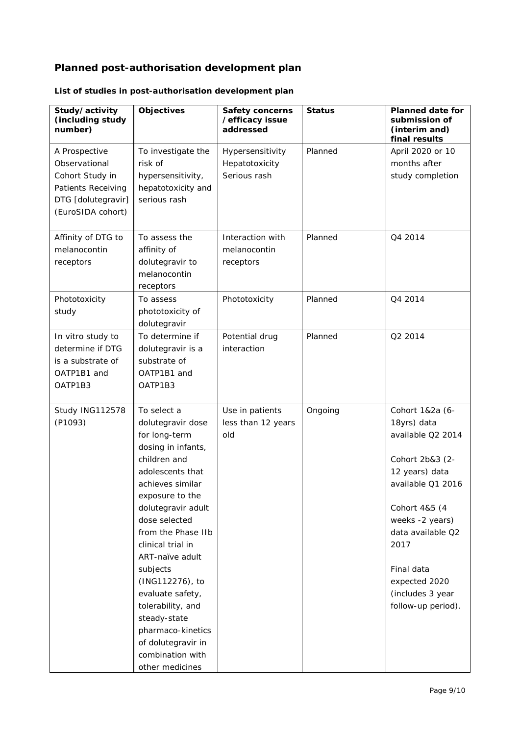# **Planned post-authorisation development plan**

| Study/activity<br>(including study<br>number) | <b>Objectives</b>                     | <b>Safety concerns</b><br>/efficacy issue<br>addressed | <b>Status</b> | <b>Planned date for</b><br>submission of<br>(interim and)<br>final results |
|-----------------------------------------------|---------------------------------------|--------------------------------------------------------|---------------|----------------------------------------------------------------------------|
| A Prospective                                 | To investigate the                    | Hypersensitivity                                       | Planned       | April 2020 or 10                                                           |
| Observational                                 | risk of                               | Hepatotoxicity                                         |               | months after                                                               |
| Cohort Study in                               | hypersensitivity,                     | Serious rash                                           |               | study completion                                                           |
| Patients Receiving                            | hepatotoxicity and                    |                                                        |               |                                                                            |
| DTG [dolutegravir]                            | serious rash                          |                                                        |               |                                                                            |
| (EuroSIDA cohort)                             |                                       |                                                        |               |                                                                            |
| Affinity of DTG to                            | To assess the                         | Interaction with                                       | Planned       | Q4 2014                                                                    |
| melanocontin                                  | affinity of                           | melanocontin                                           |               |                                                                            |
| receptors                                     | dolutegravir to                       | receptors                                              |               |                                                                            |
|                                               | melanocontin                          |                                                        |               |                                                                            |
|                                               | receptors                             |                                                        |               |                                                                            |
| Phototoxicity                                 | To assess                             | Phototoxicity                                          | Planned       | Q4 2014                                                                    |
| study                                         | phototoxicity of                      |                                                        |               |                                                                            |
|                                               | dolutegravir                          |                                                        |               |                                                                            |
| In vitro study to                             | To determine if                       | Potential drug                                         | Planned       | Q2 2014                                                                    |
| determine if DTG                              | dolutegravir is a                     | interaction                                            |               |                                                                            |
| is a substrate of                             | substrate of                          |                                                        |               |                                                                            |
| OATP1B1 and                                   | OATP1B1 and                           |                                                        |               |                                                                            |
| OATP1B3                                       | OATP1B3                               |                                                        |               |                                                                            |
|                                               |                                       |                                                        |               |                                                                            |
| Study ING112578                               | To select a                           | Use in patients                                        | Ongoing       | Cohort 1&2a (6-                                                            |
| (P1093)                                       | dolutegravir dose                     | less than 12 years                                     |               | 18yrs) data                                                                |
|                                               | for long-term                         | old                                                    |               | available Q2 2014                                                          |
|                                               | dosing in infants,                    |                                                        |               |                                                                            |
|                                               | children and                          |                                                        |               | Cohort 2b&3 (2-                                                            |
|                                               | adolescents that<br>achieves similar  |                                                        |               | 12 years) data<br>available Q1 2016                                        |
|                                               |                                       |                                                        |               |                                                                            |
|                                               | exposure to the<br>dolutegravir adult |                                                        |               | Cohort 4&5 (4                                                              |
|                                               | dose selected                         |                                                        |               | weeks -2 years)                                                            |
|                                               | from the Phase IIb                    |                                                        |               | data available Q2                                                          |
|                                               | clinical trial in                     |                                                        |               | 2017                                                                       |
|                                               | ART-naïve adult                       |                                                        |               |                                                                            |
|                                               | subjects                              |                                                        |               | Final data                                                                 |
|                                               | (ING112276), to                       |                                                        |               | expected 2020                                                              |
|                                               | evaluate safety,                      |                                                        |               | (includes 3 year                                                           |
|                                               | tolerability, and                     |                                                        |               | follow-up period).                                                         |
|                                               | steady-state                          |                                                        |               |                                                                            |
|                                               | pharmaco-kinetics                     |                                                        |               |                                                                            |
|                                               | of dolutegravir in                    |                                                        |               |                                                                            |
|                                               | combination with                      |                                                        |               |                                                                            |
|                                               | other medicines                       |                                                        |               |                                                                            |

## *List of studies in post-authorisation development plan*